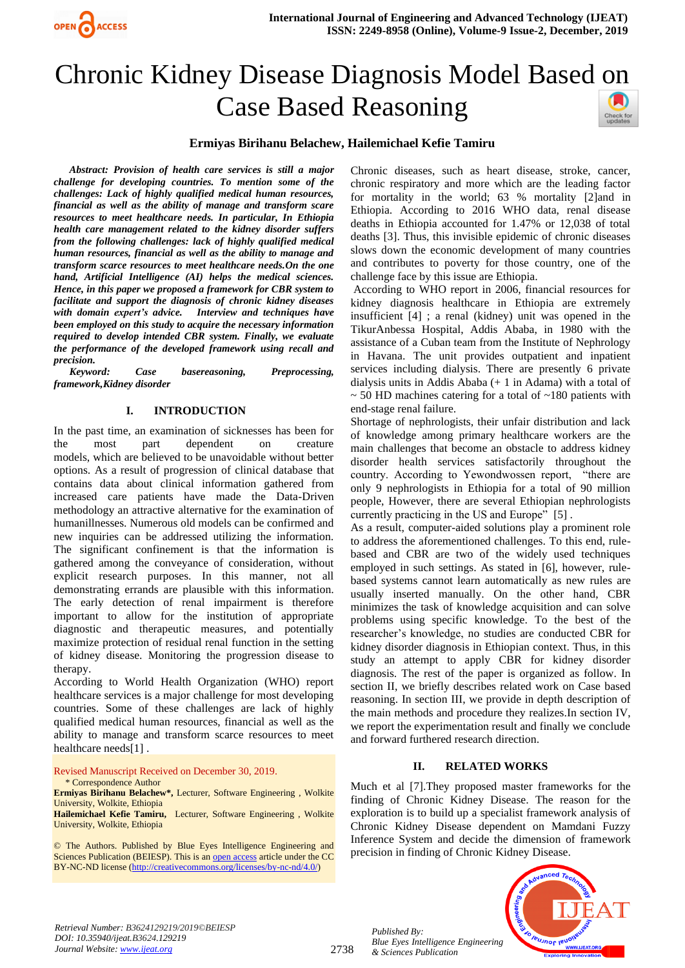

# Chronic Kidney Disease Diagnosis Model Based on Case Based Reasoning



## **Ermiyas Birihanu Belachew, Hailemichael Kefie Tamiru**

*Abstract: Provision of health care services is still a major challenge for developing countries. To mention some of the challenges: Lack of highly qualified medical human resources, financial as well as the ability of manage and transform scare resources to meet healthcare needs. In particular, In Ethiopia health care management related to the kidney disorder suffers from the following challenges: lack of highly qualified medical human resources, financial as well as the ability to manage and transform scarce resources to meet healthcare needs.On the one hand, Artificial Intelligence (AI) helps the medical sciences. Hence, in this paper we proposed a framework for CBR system to facilitate and support the diagnosis of chronic kidney diseases with domain expert's advice. Interview and techniques have been employed on this study to acquire the necessary information required to develop intended CBR system. Finally, we evaluate the performance of the developed framework using recall and precision.* 

*Keyword: Case basereasoning, Preprocessing, framework,Kidney disorder* 

### **I. INTRODUCTION**

In the past time, an examination of sicknesses has been for the most part dependent on creature models, which are believed to be unavoidable without better options. As a result of progression of clinical database that contains data about clinical information gathered from increased care patients have made the Data-Driven methodology an attractive alternative for the examination of humanillnesses. Numerous old models can be confirmed and new inquiries can be addressed utilizing the information. The significant confinement is that the information is gathered among the conveyance of consideration, without explicit research purposes. In this manner, not all demonstrating errands are plausible with this information. The early detection of renal impairment is therefore important to allow for the institution of appropriate diagnostic and therapeutic measures, and potentially maximize protection of residual renal function in the setting of kidney disease. Monitoring the progression disease to therapy.

According to World Health Organization (WHO) report healthcare services is a major challenge for most developing countries. Some of these challenges are lack of highly qualified medical human resources, financial as well as the ability to manage and transform scarce resources to meet healthcare needs[\[1\]](#page-4-0) .

Revised Manuscript Received on December 30, 2019. \* Correspondence Author

**Ermiyas Birihanu Belachew\*,** Lecturer, Software Engineering , Wolkite University, Wolkite, Ethiopia

**Hailemichael Kefie Tamiru,** Lecturer, Software Engineering , Wolkite University, Wolkite, Ethiopia

© The Authors. Published by Blue Eyes Intelligence Engineering and Sciences Publication (BEIESP). This is an <u>open access</u> article under the CC BY-NC-ND license [\(http://creativecommons.org/licenses/by-nc-nd/4.0/\)](http://creativecommons.org/licenses/by-nc-nd/4.0/)

Chronic diseases, such as heart disease, stroke, cancer, chronic respiratory and more which are the leading factor for mortality in the world; 63 % mortality [\[2\]](#page-4-1)and in Ethiopia. According to 2016 WHO data, renal disease deaths in Ethiopia accounted for 1.47% or 12,038 of total deaths [\[3\]](#page-4-2). Thus, this invisible epidemic of chronic diseases slows down the economic development of many countries and contributes to poverty for those country, one of the challenge face by this issue are Ethiopia.

According to WHO report in 2006, financial resources for kidney diagnosis healthcare in Ethiopia are extremely insufficient [\[4\]](#page-4-3) ; a renal (kidney) unit was opened in the TikurAnbessa Hospital, Addis Ababa, in 1980 with the assistance of a Cuban team from the Institute of Nephrology in Havana. The unit provides outpatient and inpatient services including dialysis. There are presently 6 private dialysis units in Addis Ababa (+ 1 in Adama) with a total of  $\sim$  50 HD machines catering for a total of  $\sim$ 180 patients with end-stage renal failure.

Shortage of nephrologists, their unfair distribution and lack of knowledge among primary healthcare workers are the main challenges that become an obstacle to address kidney disorder health services satisfactorily throughout the country. According to Yewondwossen report, "there are only 9 nephrologists in Ethiopia for a total of 90 million people, However, there are several Ethiopian nephrologists currently practicing in the US and Europe" [\[5\]](#page-4-4) .

As a result, computer-aided solutions play a prominent role to address the aforementioned challenges. To this end, rulebased and CBR are two of the widely used techniques employed in such settings. As stated in [6], however, rulebased systems cannot learn automatically as new rules are usually inserted manually. On the other hand, CBR minimizes the task of knowledge acquisition and can solve problems using specific knowledge. To the best of the researcher's knowledge, no studies are conducted CBR for kidney disorder diagnosis in Ethiopian context. Thus, in this study an attempt to apply CBR for kidney disorder diagnosis. The rest of the paper is organized as follow. In section II, we briefly describes related work on Case based reasoning. In section III, we provide in depth description of the main methods and procedure they realizes.In section IV, we report the experimentation result and finally we conclude and forward furthered research direction.

## **II. RELATED WORKS**

Much et al [\[7\]](#page-5-0).They proposed master frameworks for the finding of Chronic Kidney Disease. The reason for the exploration is to build up a specialist framework analysis of Chronic Kidney Disease dependent on Mamdani Fuzzy Inference System and decide the dimension of framework precision in finding of Chronic Kidney Disease.



*Retrieval Number: B3624129219/2019©BEIESP DOI: 10.35940/ijeat.B3624.129219 Journal Website[: www.ijeat.org](http://www.ijeat.org/)*

2738

*Published By: Blue Eyes Intelligence Engineering & Sciences Publication*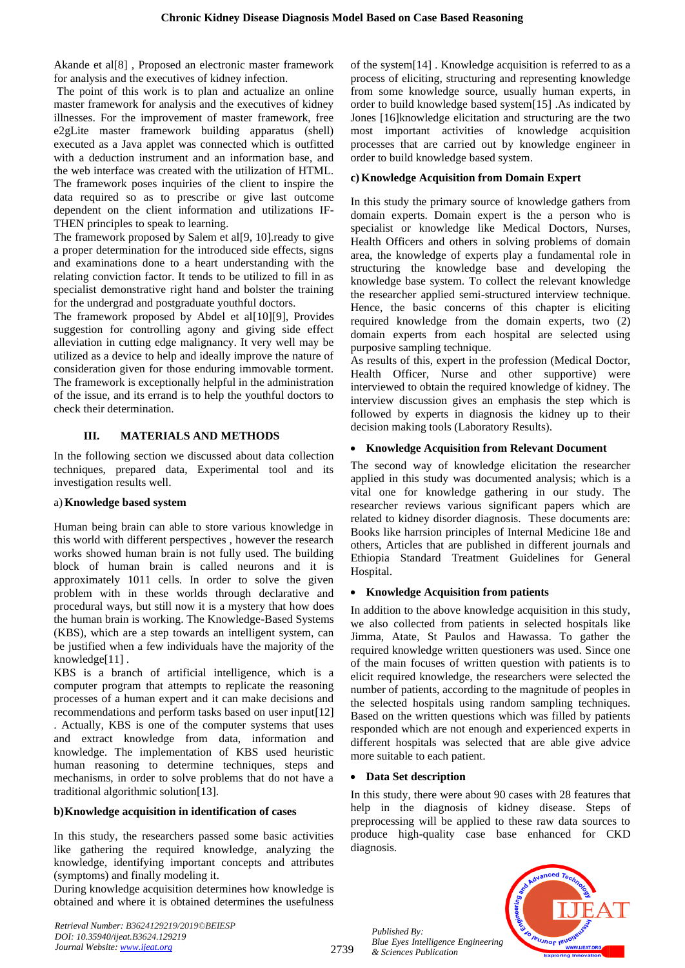Akande et al[\[8\]](#page-5-1) , Proposed an electronic master framework for analysis and the executives of kidney infection.

The point of this work is to plan and actualize an online master framework for analysis and the executives of kidney illnesses. For the improvement of master framework, free e2gLite master framework building apparatus (shell) executed as a Java applet was connected which is outfitted with a deduction instrument and an information base, and the web interface was created with the utilization of HTML. The framework poses inquiries of the client to inspire the data required so as to prescribe or give last outcome dependent on the client information and utilizations IF-THEN principles to speak to learning.

The framework proposed by Salem et al[\[9,](#page-5-2) [10\]](#page-5-3).ready to give a proper determination for the introduced side effects, signs and examinations done to a heart understanding with the relating conviction factor. It tends to be utilized to fill in as specialist demonstrative right hand and bolster the training for the undergrad and postgraduate youthful doctors.

The framework proposed by Abdel et al[\[10\]](#page-5-3)[\[9\]](#page-5-2), Provides suggestion for controlling agony and giving side effect alleviation in cutting edge malignancy. It very well may be utilized as a device to help and ideally improve the nature of consideration given for those enduring immovable torment. The framework is exceptionally helpful in the administration of the issue, and its errand is to help the youthful doctors to check their determination.

## **III. MATERIALS AND METHODS**

In the following section we discussed about data collection techniques, prepared data, Experimental tool and its investigation results well.

#### a) **Knowledge based system**

Human being brain can able to store various knowledge in this world with different perspectives , however the research works showed human brain is not fully used. The building block of human brain is called neurons and it is approximately 1011 cells. In order to solve the given problem with in these worlds through declarative and procedural ways, but still now it is a mystery that how does the human brain is working. The Knowledge-Based Systems (KBS), which are a step towards an intelligent system, can be justified when a few individuals have the majority of the knowledge[\[11\]](#page-5-4) .

KBS is a branch of artificial intelligence, which is a computer program that attempts to replicate the reasoning processes of a human expert and it can make decisions and recommendations and perform tasks based on user input[\[12\]](#page-5-5) . Actually, KBS is one of the computer systems that uses and extract knowledge from data, information and knowledge. The implementation of KBS used heuristic human reasoning to determine techniques, steps and mechanisms, in order to solve problems that do not have a traditional algorithmic solution[\[13\]](#page-5-6).

#### **b)Knowledge acquisition in identification of cases**

In this study, the researchers passed some basic activities like gathering the required knowledge, analyzing the knowledge, identifying important concepts and attributes (symptoms) and finally modeling it.

During knowledge acquisition determines how knowledge is obtained and where it is obtained determines the usefulness

*Retrieval Number: B3624129219/2019©BEIESP DOI: 10.35940/ijeat.B3624.129219 Journal Website[: www.ijeat.org](http://www.ijeat.org/)*

of the system[\[14\]](#page-5-7) . Knowledge acquisition is referred to as a process of eliciting, structuring and representing knowledge from some knowledge source, usually human experts, in order to build knowledge based system[\[15\]](#page-5-8) .As indicated by Jones [\[16\]](#page-5-9)knowledge elicitation and structuring are the two most important activities of knowledge acquisition processes that are carried out by knowledge engineer in order to build knowledge based system.

#### **c) Knowledge Acquisition from Domain Expert**

In this study the primary source of knowledge gathers from domain experts. Domain expert is the a person who is specialist or knowledge like Medical Doctors, Nurses, Health Officers and others in solving problems of domain area, the knowledge of experts play a fundamental role in structuring the knowledge base and developing the knowledge base system. To collect the relevant knowledge the researcher applied semi-structured interview technique. Hence, the basic concerns of this chapter is eliciting required knowledge from the domain experts, two (2) domain experts from each hospital are selected using purposive sampling technique.

As results of this, expert in the profession (Medical Doctor, Health Officer, Nurse and other supportive) were interviewed to obtain the required knowledge of kidney. The interview discussion gives an emphasis the step which is followed by experts in diagnosis the kidney up to their decision making tools (Laboratory Results).

#### • **Knowledge Acquisition from Relevant Document**

The second way of knowledge elicitation the researcher applied in this study was documented analysis; which is a vital one for knowledge gathering in our study. The researcher reviews various significant papers which are related to kidney disorder diagnosis. These documents are: Books like harrsion principles of Internal Medicine 18e and others, Articles that are published in different journals and Ethiopia Standard Treatment Guidelines for General Hospital.

#### • **Knowledge Acquisition from patients**

In addition to the above knowledge acquisition in this study, we also collected from patients in selected hospitals like Jimma, Atate, St Paulos and Hawassa. To gather the required knowledge written questioners was used. Since one of the main focuses of written question with patients is to elicit required knowledge, the researchers were selected the number of patients, according to the magnitude of peoples in the selected hospitals using random sampling techniques. Based on the written questions which was filled by patients responded which are not enough and experienced experts in different hospitals was selected that are able give advice more suitable to each patient.

#### • **Data Set description**

In this study, there were about 90 cases with 28 features that help in the diagnosis of kidney disease. Steps of preprocessing will be applied to these raw data sources to produce high-quality case base enhanced for CKD diagnosis.

*PUJNOF IEU* 

*Published By: Blue Eyes Intelligence Engineering & Sciences Publication*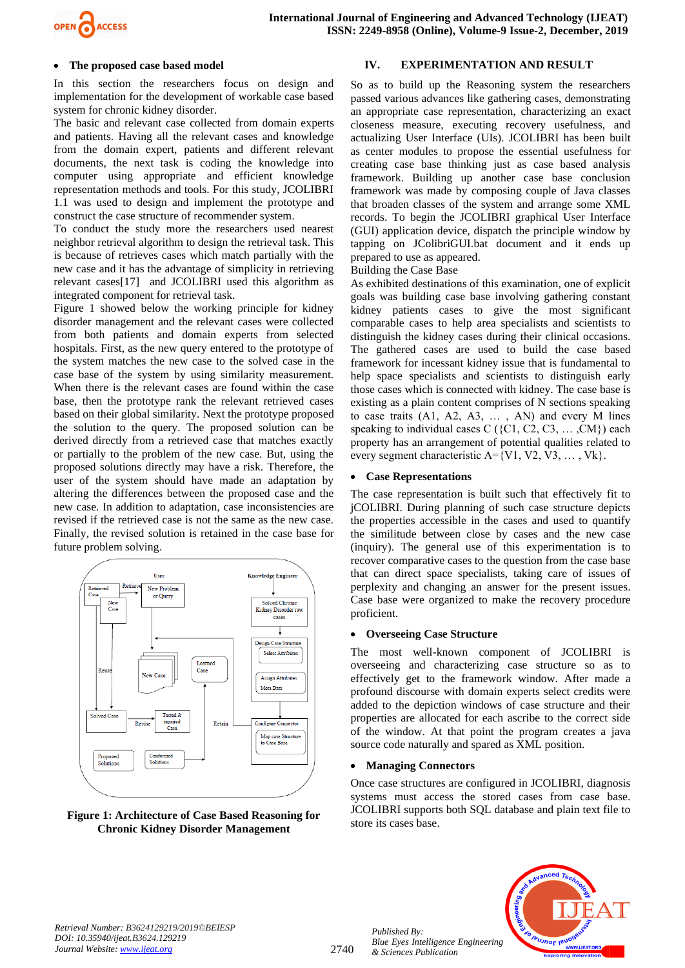

## • **The proposed case based model**

In this section the researchers focus on design and implementation for the development of workable case based system for chronic kidney disorder.

The basic and relevant case collected from domain experts and patients. Having all the relevant cases and knowledge from the domain expert, patients and different relevant documents, the next task is coding the knowledge into computer using appropriate and efficient knowledge representation methods and tools. For this study, JCOLIBRI 1.1 was used to design and implement the prototype and construct the case structure of recommender system.

To conduct the study more the researchers used nearest neighbor retrieval algorithm to design the retrieval task. This is because of retrieves cases which match partially with the new case and it has the advantage of simplicity in retrieving relevant cases[\[17\]](#page-5-10) and JCOLIBRI used this algorithm as integrated component for retrieval task.

Figure 1 showed below the working principle for kidney disorder management and the relevant cases were collected from both patients and domain experts from selected hospitals. First, as the new query entered to the prototype of the system matches the new case to the solved case in the case base of the system by using similarity measurement. When there is the relevant cases are found within the case base, then the prototype rank the relevant retrieved cases based on their global similarity. Next the prototype proposed the solution to the query. The proposed solution can be derived directly from a retrieved case that matches exactly or partially to the problem of the new case. But, using the proposed solutions directly may have a risk. Therefore, the user of the system should have made an adaptation by altering the differences between the proposed case and the new case. In addition to adaptation, case inconsistencies are revised if the retrieved case is not the same as the new case. Finally, the revised solution is retained in the case base for future problem solving.



## **Figure 1: Architecture of Case Based Reasoning for Chronic Kidney Disorder Management**

## **IV. EXPERIMENTATION AND RESULT**

So as to build up the Reasoning system the researchers passed various advances like gathering cases, demonstrating an appropriate case representation, characterizing an exact closeness measure, executing recovery usefulness, and actualizing User Interface (UIs). JCOLIBRI has been built as center modules to propose the essential usefulness for creating case base thinking just as case based analysis framework. Building up another case base conclusion framework was made by composing couple of Java classes that broaden classes of the system and arrange some XML records. To begin the JCOLIBRI graphical User Interface (GUI) application device, dispatch the principle window by tapping on JColibriGUI.bat document and it ends up prepared to use as appeared.

Building the Case Base

As exhibited destinations of this examination, one of explicit goals was building case base involving gathering constant kidney patients cases to give the most significant comparable cases to help area specialists and scientists to distinguish the kidney cases during their clinical occasions. The gathered cases are used to build the case based framework for incessant kidney issue that is fundamental to help space specialists and scientists to distinguish early those cases which is connected with kidney. The case base is existing as a plain content comprises of N sections speaking to case traits (A1, A2, A3, … , AN) and every M lines speaking to individual cases  $C$  ({C1, C2, C3, ..., CM}) each property has an arrangement of potential qualities related to every segment characteristic  $A = \{V1, V2, V3, \dots, Vk\}.$ 

## • **Case Representations**

The case representation is built such that effectively fit to jCOLIBRI. During planning of such case structure depicts the properties accessible in the cases and used to quantify the similitude between close by cases and the new case (inquiry). The general use of this experimentation is to recover comparative cases to the question from the case base that can direct space specialists, taking care of issues of perplexity and changing an answer for the present issues. Case base were organized to make the recovery procedure proficient.

## • **Overseeing Case Structure**

The most well-known component of JCOLIBRI is overseeing and characterizing case structure so as to effectively get to the framework window. After made a profound discourse with domain experts select credits were added to the depiction windows of case structure and their properties are allocated for each ascribe to the correct side of the window. At that point the program creates a java source code naturally and spared as XML position.

## • **Managing Connectors**

Once case structures are configured in JCOLIBRI, diagnosis systems must access the stored cases from case base. JCOLIBRI supports both SQL database and plain text file to store its cases base.

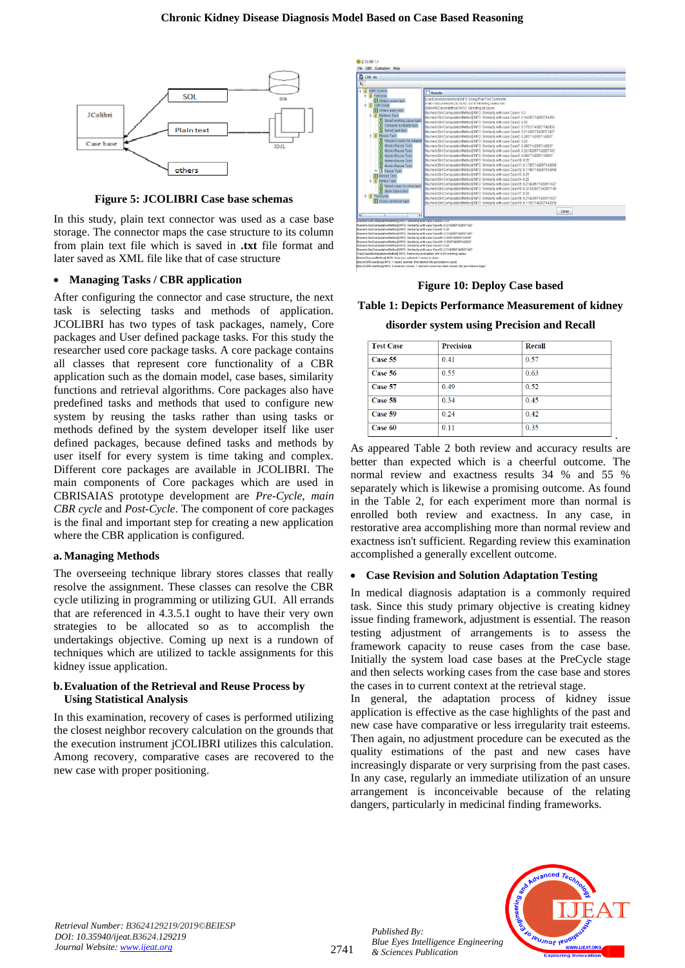

**Figure 5: JCOLIBRI Case base schemas**

In this study, plain text connector was used as a case base storage. The connector maps the case structure to its column from plain text file which is saved in **.txt** file format and later saved as XML file like that of case structure

#### • **Managing Tasks / CBR application**

After configuring the connector and case structure, the next task is selecting tasks and methods of application. JCOLIBRI has two types of task packages, namely, Core packages and User defined package tasks. For this study the researcher used core package tasks. A core package contains all classes that represent core functionality of a CBR application such as the domain model, case bases, similarity functions and retrieval algorithms. Core packages also have predefined tasks and methods that used to configure new system by reusing the tasks rather than using tasks or methods defined by the system developer itself like user defined packages, because defined tasks and methods by user itself for every system is time taking and complex. Different core packages are available in JCOLIBRI. The main components of Core packages which are used in CBRISAIAS prototype development are *Pre-Cycle*, *main CBR cycle* and *Post-Cycle*. The component of core packages is the final and important step for creating a new application where the CBR application is configured.

#### **a. Managing Methods**

The overseeing technique library stores classes that really resolve the assignment. These classes can resolve the CBR cycle utilizing in programming or utilizing GUI. All errands that are referenced in 4.3.5.1 ought to have their very own strategies to be allocated so as to accomplish the undertakings objective. Coming up next is a rundown of techniques which are utilized to tackle assignments for this kidney issue application.

#### **b.Evaluation of the Retrieval and Reuse Process by Using Statistical Analysis**

In this examination, recovery of cases is performed utilizing the closest neighbor recovery calculation on the grounds that the execution instrument jCOLIBRI utilizes this calculation. Among recovery, comparative cases are recovered to the new case with proper positioning.



#### **Figure 10: Deploy Case based**

## **Table 1: Depicts Performance Measurement of kidney**

**disorder system using Precision and Recall**

| <b>Test Case</b> | <b>Precision</b> | Recall |  |
|------------------|------------------|--------|--|
| Case 55          | 0.41             | 0.57   |  |
| Case 56          | 0.55             | 0.63   |  |
| Case 57          | 0.49             | 0.52   |  |
| Case 58          | 0.34             | 0.45   |  |
| Case 59          | 0.24             | 0.42   |  |
| Case 60          | 0.11             | 0.35   |  |

As appeared Table 2 both review and accuracy results are better than expected which is a cheerful outcome. The normal review and exactness results 34 % and 55 % separately which is likewise a promising outcome. As found in the Table 2, for each experiment more than normal is enrolled both review and exactness. In any case, in restorative area accomplishing more than normal review and exactness isn't sufficient. Regarding review this examination accomplished a generally excellent outcome.

#### • **Case Revision and Solution Adaptation Testing**

In medical diagnosis adaptation is a commonly required task. Since this study primary objective is creating kidney issue finding framework, adjustment is essential. The reason testing adjustment of arrangements is to assess the framework capacity to reuse cases from the case base. Initially the system load case bases at the PreCycle stage and then selects working cases from the case base and stores the cases in to current context at the retrieval stage.

In general, the adaptation process of kidney issue application is effective as the case highlights of the past and new case have comparative or less irregularity trait esteems. Then again, no adjustment procedure can be executed as the quality estimations of the past and new cases have increasingly disparate or very surprising from the past cases. In any case, regularly an immediate utilization of an unsure arrangement is inconceivable because of the relating dangers, particularly in medicinal finding frameworks.



*Published By:*

*& Sciences Publication*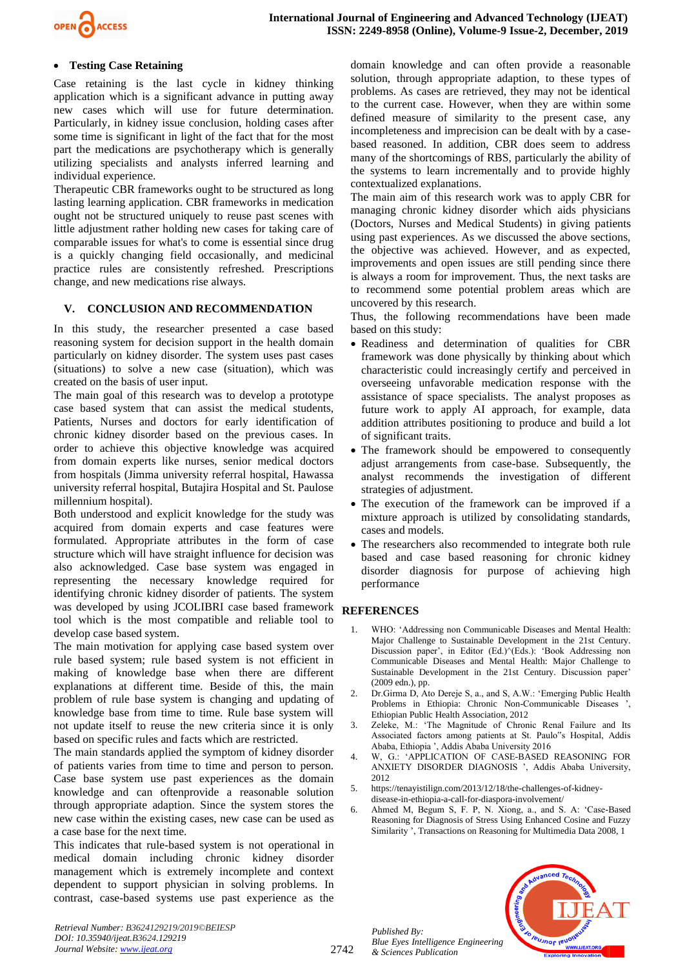

## • **Testing Case Retaining**

Case retaining is the last cycle in kidney thinking application which is a significant advance in putting away new cases which will use for future determination. Particularly, in kidney issue conclusion, holding cases after some time is significant in light of the fact that for the most part the medications are psychotherapy which is generally utilizing specialists and analysts inferred learning and individual experience.

Therapeutic CBR frameworks ought to be structured as long lasting learning application. CBR frameworks in medication ought not be structured uniquely to reuse past scenes with little adjustment rather holding new cases for taking care of comparable issues for what's to come is essential since drug is a quickly changing field occasionally, and medicinal practice rules are consistently refreshed. Prescriptions change, and new medications rise always.

#### **V. CONCLUSION AND RECOMMENDATION**

In this study, the researcher presented a case based reasoning system for decision support in the health domain particularly on kidney disorder. The system uses past cases (situations) to solve a new case (situation), which was created on the basis of user input.

The main goal of this research was to develop a prototype case based system that can assist the medical students, Patients, Nurses and doctors for early identification of chronic kidney disorder based on the previous cases. In order to achieve this objective knowledge was acquired from domain experts like nurses, senior medical doctors from hospitals (Jimma university referral hospital, Hawassa university referral hospital, Butajira Hospital and St. Paulose millennium hospital).

Both understood and explicit knowledge for the study was acquired from domain experts and case features were formulated. Appropriate attributes in the form of case structure which will have straight influence for decision was also acknowledged. Case base system was engaged in representing the necessary knowledge required for identifying chronic kidney disorder of patients. The system was developed by using JCOLIBRI case based framework tool which is the most compatible and reliable tool to develop case based system.

The main motivation for applying case based system over rule based system; rule based system is not efficient in making of knowledge base when there are different explanations at different time. Beside of this, the main problem of rule base system is changing and updating of knowledge base from time to time. Rule base system will not update itself to reuse the new criteria since it is only based on specific rules and facts which are restricted.

The main standards applied the symptom of kidney disorder of patients varies from time to time and person to person. Case base system use past experiences as the domain knowledge and can oftenprovide a reasonable solution through appropriate adaption. Since the system stores the new case within the existing cases, new case can be used as a case base for the next time.

This indicates that rule-based system is not operational in medical domain including chronic kidney disorder management which is extremely incomplete and context dependent to support physician in solving problems. In contrast, case-based systems use past experience as the domain knowledge and can often provide a reasonable solution, through appropriate adaption, to these types of problems. As cases are retrieved, they may not be identical to the current case. However, when they are within some defined measure of similarity to the present case, any incompleteness and imprecision can be dealt with by a casebased reasoned. In addition, CBR does seem to address many of the shortcomings of RBS, particularly the ability of the systems to learn incrementally and to provide highly contextualized explanations.

The main aim of this research work was to apply CBR for managing chronic kidney disorder which aids physicians (Doctors, Nurses and Medical Students) in giving patients using past experiences. As we discussed the above sections, the objective was achieved. However, and as expected, improvements and open issues are still pending since there is always a room for improvement. Thus, the next tasks are to recommend some potential problem areas which are uncovered by this research.

Thus, the following recommendations have been made based on this study:

- Readiness and determination of qualities for CBR framework was done physically by thinking about which characteristic could increasingly certify and perceived in overseeing unfavorable medication response with the assistance of space specialists. The analyst proposes as future work to apply AI approach, for example, data addition attributes positioning to produce and build a lot of significant traits.
- The framework should be empowered to consequently adjust arrangements from case-base. Subsequently, the analyst recommends the investigation of different strategies of adjustment.
- The execution of the framework can be improved if a mixture approach is utilized by consolidating standards, cases and models.
- The researchers also recommended to integrate both rule based and case based reasoning for chronic kidney disorder diagnosis for purpose of achieving high performance

## **REFERENCES**

- <span id="page-4-0"></span>WHO: 'Addressing non Communicable Diseases and Mental Health: Major Challenge to Sustainable Development in the 21st Century. Discussion paper', in Editor (Ed.)^(Eds.): 'Book Addressing non Communicable Diseases and Mental Health: Major Challenge to Sustainable Development in the 21st Century. Discussion paper' (2009 edn.), pp.
- <span id="page-4-1"></span>2. Dr.Girma D, Ato Dereje S, a., and S, A.W.: 'Emerging Public Health Problems in Ethiopia: Chronic Non-Communicable Diseases ', Ethiopian Public Health Association, 2012
- <span id="page-4-2"></span>3. Zeleke, M.: 'The Magnitude of Chronic Renal Failure and Its Associated factors among patients at St. Paulo"s Hospital, Addis Ababa, Ethiopia ', Addis Ababa University 2016
- <span id="page-4-3"></span>4. W, G.: 'APPLICATION OF CASE-BASED REASONING FOR ANXIETY DISORDER DIAGNOSIS ', Addis Ababa University, 2012
- <span id="page-4-4"></span>5. https://tenayistilign.com/2013/12/18/the-challenges-of-kidneydisease-in-ethiopia-a-call-for-diaspora-involvement/
- 6. Ahmed M, Begum S, F. P, N. Xiong, a., and S. A: 'Case-Based Reasoning for Diagnosis of Stress Using Enhanced Cosine and Fuzzy Similarity ', Transactions on Reasoning for Multimedia Data 2008, 1

*Published By: Blue Eyes Intelligence Engineering & Sciences Publication* 



2742